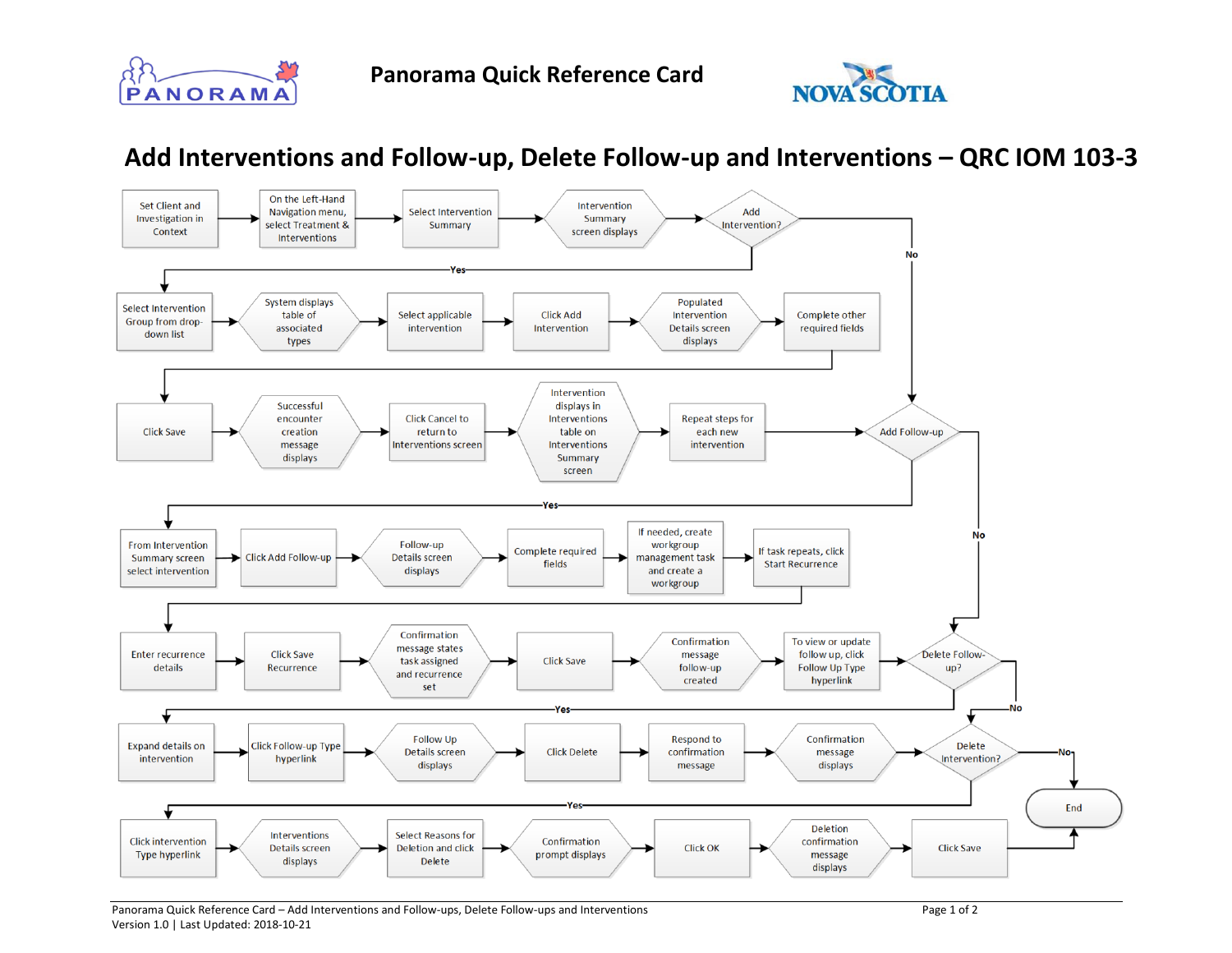



## **Add Interventions and Follow-up, Delete Follow-up and Interventions – QRC IOM 103-3**



Panorama Quick Reference Card – Add Interventions and Follow-ups, Delete Follow-ups and Interventions Page 1 of 2 Version 1.0 | Last Updated: 2018-10-21